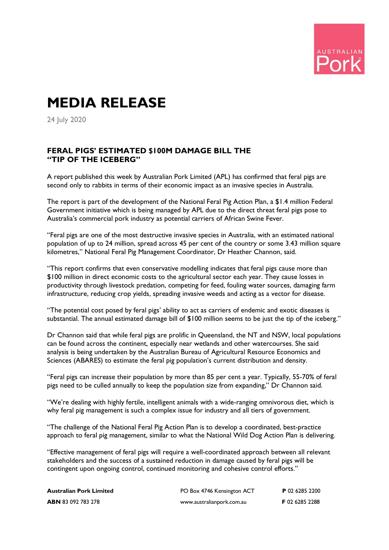

## **MEDIA RELEASE**

24 July 2020

## **FERAL PIGS' ESTIMATED \$100M DAMAGE BILL THE "TIP OF THE ICEBERG"**

A report published this week by Australian Pork Limited (APL) has confirmed that feral pigs are second only to rabbits in terms of their economic impact as an invasive species in Australia.

The report is part of the development of the National Feral Pig Action Plan, a \$1.4 million Federal Government initiative which is being managed by APL due to the direct threat feral pigs pose to Australia's commercial pork industry as potential carriers of African Swine Fever.

"Feral pigs are one of the most destructive invasive species in Australia, with an estimated national population of up to 24 million, spread across 45 per cent of the country or some 3.43 million square kilometres," National Feral Pig Management Coordinator, Dr Heather Channon, said.

"This report confirms that even conservative modelling indicates that feral pigs cause more than \$100 million in direct economic costs to the agricultural sector each year. They cause losses in productivity through livestock predation, competing for feed, fouling water sources, damaging farm infrastructure, reducing crop yields, spreading invasive weeds and acting as a vector for disease.

"The potential cost posed by feral pigs' ability to act as carriers of endemic and exotic diseases is substantial. The annual estimated damage bill of \$100 million seems to be just the tip of the iceberg."

Dr Channon said that while feral pigs are prolific in Queensland, the NT and NSW, local populations can be found across the continent, especially near wetlands and other watercourses. She said analysis is being undertaken by the Australian Bureau of Agricultural Resource Economics and Sciences (ABARES) to estimate the feral pig population's current distribution and density.

"Feral pigs can increase their population by more than 85 per cent a year. Typically, 55-70% of feral pigs need to be culled annually to keep the population size from expanding," Dr Channon said.

"We're dealing with highly fertile, intelligent animals with a wide-ranging omnivorous diet, which is why feral pig management is such a complex issue for industry and all tiers of government.

"The challenge of the National Feral Pig Action Plan is to develop a coordinated, best-practice approach to feral pig management, similar to what the National Wild Dog Action Plan is delivering.

"Effective management of feral pigs will require a well-coordinated approach between all relevant stakeholders and the success of a sustained reduction in damage caused by feral pigs will be contingent upon ongoing control, continued monitoring and cohesive control efforts."

| <b>Australian Pork Limited</b> | PO Box 4746 Kensington ACT | P 02 6285 2200 |
|--------------------------------|----------------------------|----------------|
| <b>ABN</b> 83 092 783 278      | www.australianpork.com.au  | F 02 6285 2288 |